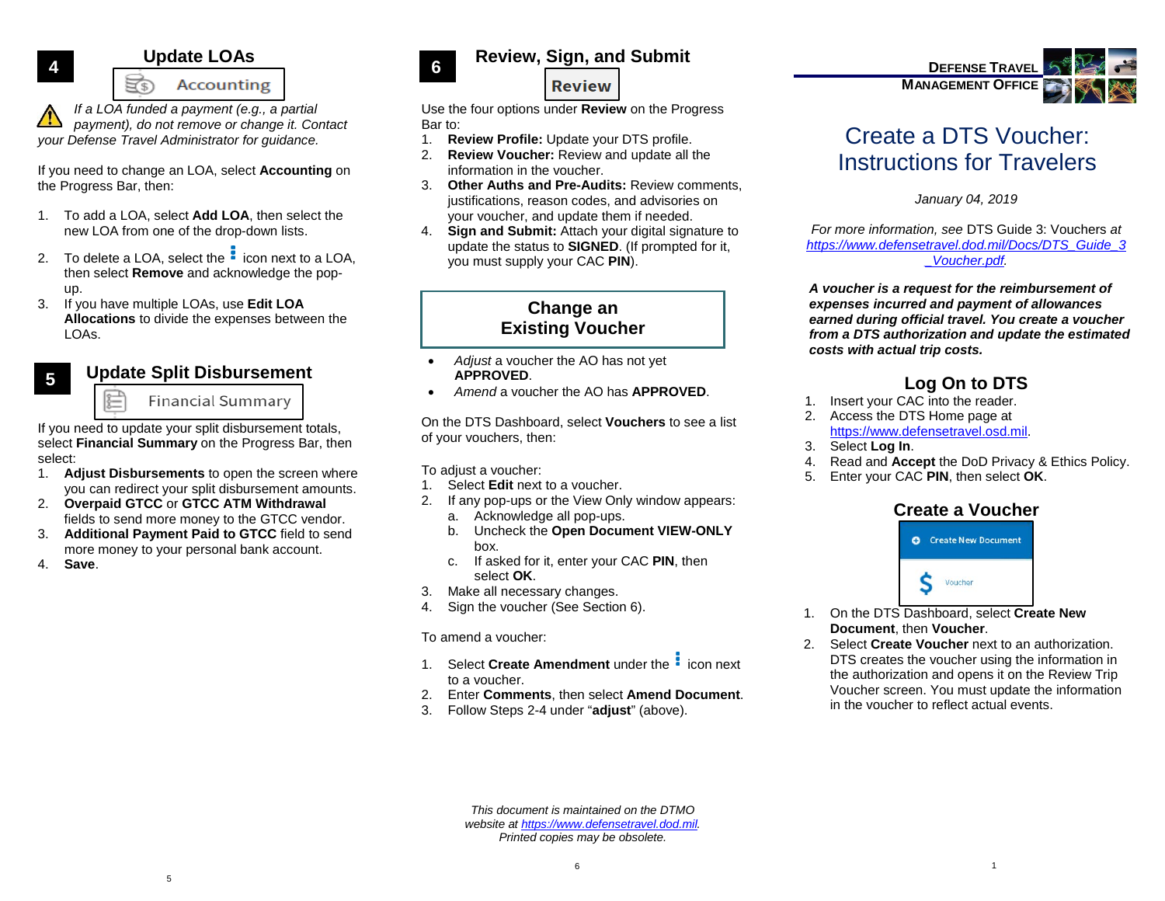## **Update LOAs**

St Accounting

*If a LOA funded a payment (e.g., a partial payment), do not remove or change it. Contact your Defense Travel Administrator for guidance.*

If you need to change an LOA, select **Accounting** on the Progress Bar, then:

- 1. To add a LOA, select **Add LOA**, then select the new LOA from one of the drop-down lists.
- 2. To delete a LOA, select the  $\frac{1}{2}$  icon next to a LOA, then select **Remove** and acknowledge the popup.
- 3. If you have multiple LOAs, use **Edit LOA Allocations** to divide the expenses between the LOAs.



**4**

#### **Update Split Disbursement**

**Financial Summary** 

If you need to update your split disbursement totals, select **Financial Summary** on the Progress Bar, then select:

- 1. **Adjust Disbursements** to open the screen where you can redirect your split disbursement amounts.
- 2. **Overpaid GTCC** or **GTCC ATM Withdrawal** fields to send more money to the GTCC vendor.
- 3. **Additional Payment Paid to GTCC** field to send more money to your personal bank account.
- 4. **Save**.



### **Review, Sign, and Submit**

#### **Review**

Use the four options under **Review** on the Progress Bar to:

- 1. **Review Profile:** Update your DTS profile.
- 2. **Review Voucher:** Review and update all the information in the voucher.
- 3. **Other Auths and Pre-Audits:** Review comments, justifications, reason codes, and advisories on your voucher, and update them if needed.
- 4. **Sign and Submit:** Attach your digital signature to update the status to **SIGNED**. (If prompted for it, you must supply your CAC **PIN**).

#### **Change an Existing Voucher**

- *Adjust* a voucher the AO has not yet **APPROVED**.
- *Amend* a voucher the AO has **APPROVED**.

On the DTS Dashboard, select **Vouchers** to see a list of your vouchers, then:

To adjust a voucher:

- 1. Select **Edit** next to a voucher.
- 2. If any pop-ups or the View Only window appears: a. Acknowledge all pop-ups.
	- b. Uncheck the **Open Document VIEW-ONLY** box.
	- c. If asked for it, enter your CAC **PIN**, then select **OK**.
- 3. Make all necessary changes.
- 4. Sign the voucher (See Section 6).

To amend a voucher:

- 1. Select **Create Amendment** under the **i** icon next to a voucher.
- 2. Enter **Comments**, then select **Amend Document**.
- 3. Follow Steps 2-4 under "**adjust**" (above).



# Create a DTS Voucher: Instructions for Travelers

*January 04, 2019*

*For more information, see* DTS Guide 3: Vouchers *at [https://www.defensetravel.dod.mil/Docs/DTS\\_Guide\\_3](https://www.defensetravel.dod.mil/Docs/DTS_Guide_3_Voucher.pdf) [\\_Voucher.pdf.](https://www.defensetravel.dod.mil/Docs/DTS_Guide_3_Voucher.pdf)*

*A voucher is a request for the reimbursement of expenses incurred and payment of allowances earned during official travel. You create a voucher from a DTS authorization and update the estimated costs with actual trip costs.*

### **Log On to DTS**

- 1. Insert your CAC into the reader.
- 2. Access the DTS Home page at [https://www.defensetravel.osd.mil.](https://www.defensetravel.osd.mil/)
- 3. Select **Log In**.
- 4. Read and **Accept** the DoD Privacy & Ethics Policy.
- 5. Enter your CAC **PIN**, then select **OK**.

#### **Create a Voucher**



- 1. On the DTS Dashboard, select **Create New Document**, then **Voucher**.
- 2. Select **Create Voucher** next to an authorization. DTS creates the voucher using the information in the authorization and opens it on the Review Trip Voucher screen. You must update the information in the voucher to reflect actual events.

*This document is maintained on the DTMO website a[t https://www.defensetravel.dod.mil.](https://www.defensetravel.dod.mil/) Printed copies may be obsolete.*